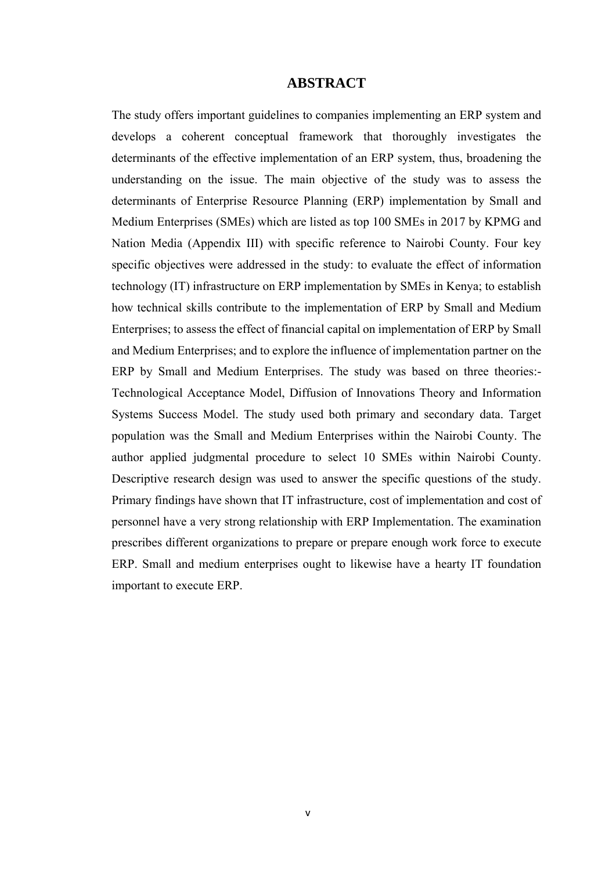## **ABSTRACT**

The study offers important guidelines to companies implementing an ERP system and develops a coherent conceptual framework that thoroughly investigates the determinants of the effective implementation of an ERP system, thus, broadening the understanding on the issue. The main objective of the study was to assess the determinants of Enterprise Resource Planning (ERP) implementation by Small and Medium Enterprises (SMEs) which are listed as top 100 SMEs in 2017 by KPMG and Nation Media (Appendix III) with specific reference to Nairobi County. Four key specific objectives were addressed in the study: to evaluate the effect of information technology (IT) infrastructure on ERP implementation by SMEs in Kenya; to establish how technical skills contribute to the implementation of ERP by Small and Medium Enterprises; to assess the effect of financial capital on implementation of ERP by Small and Medium Enterprises; and to explore the influence of implementation partner on the ERP by Small and Medium Enterprises. The study was based on three theories:- Technological Acceptance Model, Diffusion of Innovations Theory and Information Systems Success Model. The study used both primary and secondary data. Target population was the Small and Medium Enterprises within the Nairobi County. The author applied judgmental procedure to select 10 SMEs within Nairobi County. Descriptive research design was used to answer the specific questions of the study. Primary findings have shown that IT infrastructure, cost of implementation and cost of personnel have a very strong relationship with ERP Implementation. The examination prescribes different organizations to prepare or prepare enough work force to execute ERP. Small and medium enterprises ought to likewise have a hearty IT foundation important to execute ERP.